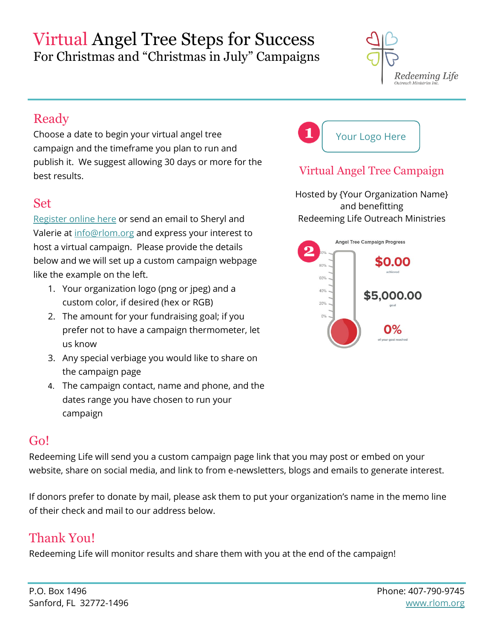# Virtual Angel Tree Steps for Success For Christmas and "Christmas in July" Campaigns



# Ready

Choose a date to begin your virtual angel tree campaign and the timeframe you plan to run and publish it. We suggest allowing 30 days or more for the best results.

### Set

[Register online here](https://www.rlom.org/christmas-angel-tree) or send an email to Sheryl and Valerie at [info@rlom.org](mailto:info@rlom.org) and express your interest to host a virtual campaign. Please provide the details below and we will set up a custom campaign webpage like the example on the left.

- 1. Your organization logo (png or jpeg) and a custom color, if desired (hex or RGB)
- 2. The amount for your fundraising goal; if you prefer not to have a campaign thermometer, let us know
- 3. Any special verbiage you would like to share on the campaign page
- 4. The campaign contact, name and phone, and the dates range you have chosen to run your campaign

#### Go!

Redeeming Life will send you a custom campaign page link that you may post or embed on your website, share on social media, and link to from e-newsletters, blogs and emails to generate interest.

If donors prefer to donate by mail, please ask them to put your organization's name in the memo line of their check and mail to our address below.

# Thank You!

Redeeming Life will monitor results and share them with you at the end of the campaign!



### Virtual Angel Tree Campaign

Hosted by {Your Organization Name} and benefitting Redeeming Life Outreach Ministries